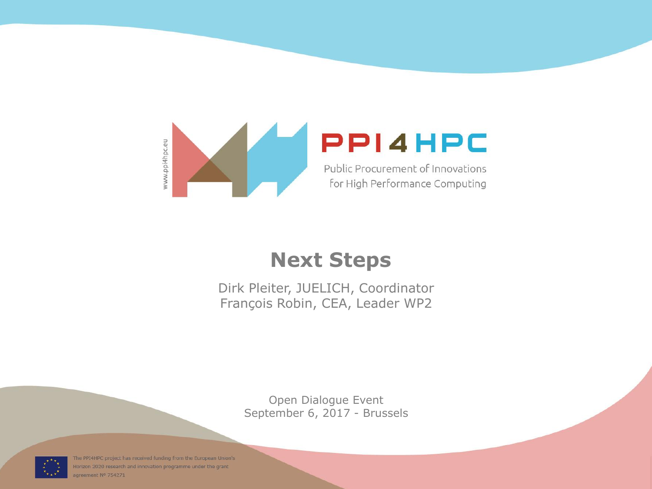

## **Next Steps**

Dirk Pleiter, JUELICH, Coordinator François Robin, CEA, Leader WP2

> Open Dialogue Event September 6, 2017 - Brussels



The PPI4HPC project has received funding from the European Union's Horizon 2020 research and innovation programme under the grant agreement Nº 754271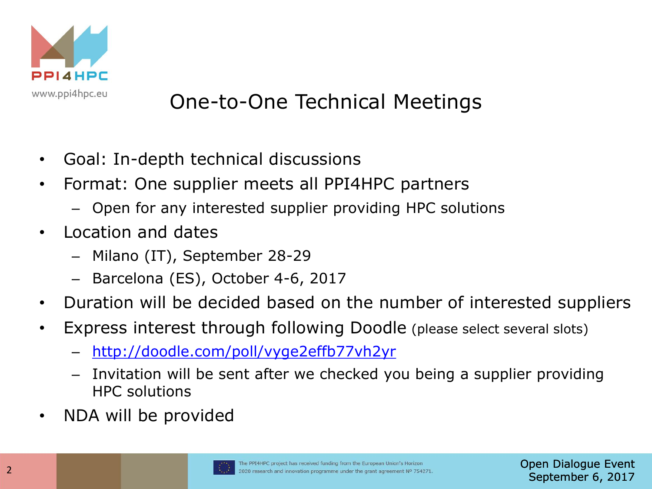

## One-to-One Technical Meetings

- Goal: In-depth technical discussions
- Format: One supplier meets all PPI4HPC partners
	- Open for any interested supplier providing HPC solutions
- Location and dates
	- Milano (IT), September 28-29
	- Barcelona (ES), October 4-6, 2017
- Duration will be decided based on the number of interested suppliers
- Express interest through following Doodle (please select several slots)
	- <http://doodle.com/poll/vyge2effb77vh2yr>
	- Invitation will be sent after we checked you being a supplier providing HPC solutions
- NDA will be provided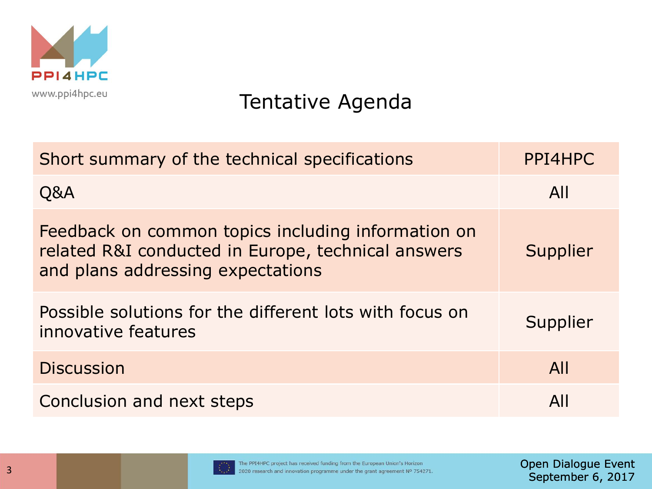

## Tentative Agenda

| Short summary of the technical specifications                                                                                                 | PPI4HPC  |
|-----------------------------------------------------------------------------------------------------------------------------------------------|----------|
| Q&A                                                                                                                                           | All      |
| Feedback on common topics including information on<br>related R&I conducted in Europe, technical answers<br>and plans addressing expectations | Supplier |
| Possible solutions for the different lots with focus on<br>innovative features                                                                | Supplier |
| <b>Discussion</b>                                                                                                                             | All      |
| Conclusion and next steps                                                                                                                     | All      |

Open Dialogue Event September 6, 2017